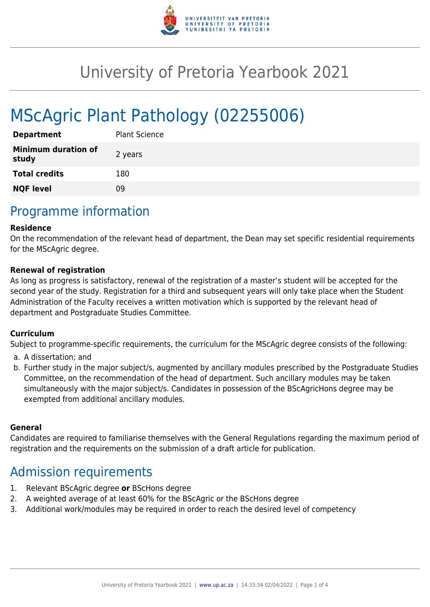

# University of Pretoria Yearbook 2021

# MScAgric Plant Pathology (02255006)

| <b>Department</b>                   | <b>Plant Science</b> |
|-------------------------------------|----------------------|
| <b>Minimum duration of</b><br>study | 2 years              |
| <b>Total credits</b>                | 180                  |
| <b>NQF level</b>                    | Ωd                   |

## Programme information

#### **Residence**

On the recommendation of the relevant head of department, the Dean may set specific residential requirements for the MScAgric degree.

#### **Renewal of registration**

As long as progress is satisfactory, renewal of the registration of a master's student will be accepted for the second year of the study. Registration for a third and subsequent years will only take place when the Student Administration of the Faculty receives a written motivation which is supported by the relevant head of department and Postgraduate Studies Committee.

#### **Curriculum**

Subject to programme-specific requirements, the curriculum for the MScAgric degree consists of the following:

- a. A dissertation; and
- b. Further study in the major subject/s, augmented by ancillary modules prescribed by the Postgraduate Studies Committee, on the recommendation of the head of department. Such ancillary modules may be taken simultaneously with the major subject/s. Candidates in possession of the BScAgricHons degree may be exempted from additional ancillary modules.

#### **General**

Candidates are required to familiarise themselves with the General Regulations regarding the maximum period of registration and the requirements on the submission of a draft article for publication.

### Admission requirements

- 1. Relevant BScAgric degree **or** BScHons degree
- 2. A weighted average of at least 60% for the BScAgric or the BScHons degree
- 3. Additional work/modules may be required in order to reach the desired level of competency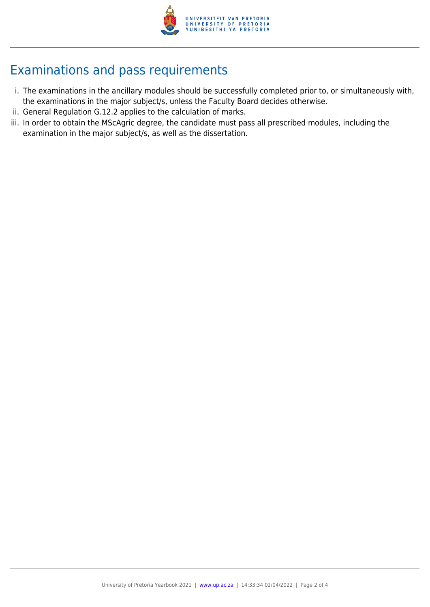

# Examinations and pass requirements

- i. The examinations in the ancillary modules should be successfully completed prior to, or simultaneously with, the examinations in the major subject/s, unless the Faculty Board decides otherwise.
- ii. General Regulation G.12.2 applies to the calculation of marks.
- iii. In order to obtain the MScAgric degree, the candidate must pass all prescribed modules, including the examination in the major subject/s, as well as the dissertation.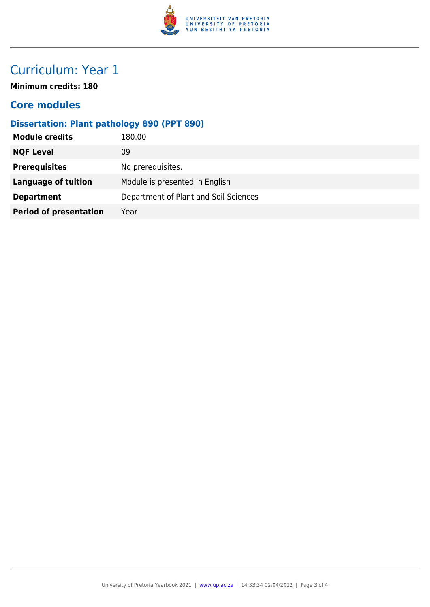

# Curriculum: Year 1

**Minimum credits: 180**

### **Core modules**

### **Dissertation: Plant pathology 890 (PPT 890)**

| 180.00                                |
|---------------------------------------|
| 09                                    |
| No prerequisites.                     |
| Module is presented in English        |
| Department of Plant and Soil Sciences |
| Year                                  |
|                                       |